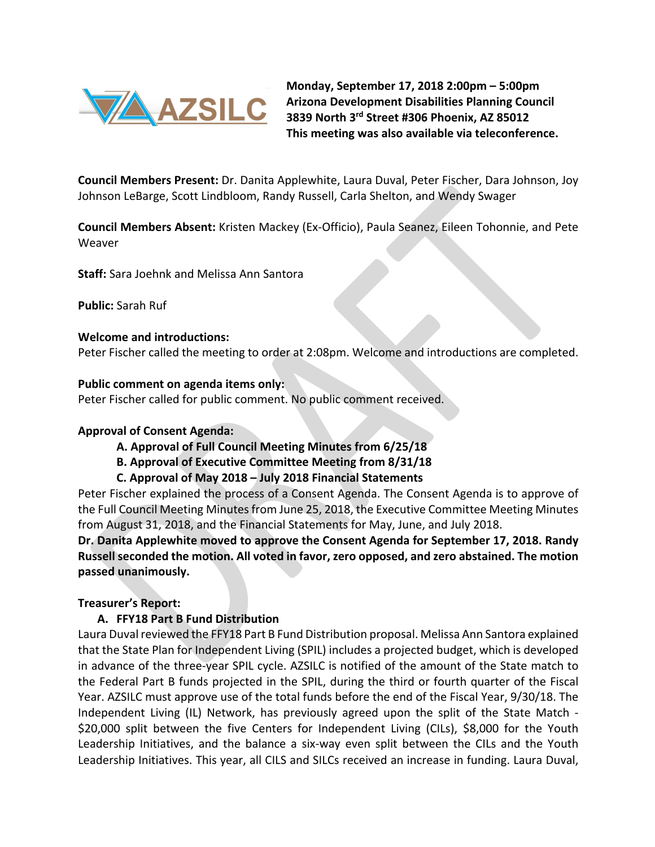

**Monday, September 17, 2018 2:00pm – 5:00pm Arizona Development Disabilities Planning Council 3839 North 3rd Street #306 Phoenix, AZ 85012 This meeting was also available via teleconference.**

**Council Members Present:** Dr. Danita Applewhite, Laura Duval, Peter Fischer, Dara Johnson, Joy Johnson LeBarge, Scott Lindbloom, Randy Russell, Carla Shelton, and Wendy Swager

**Council Members Absent:** Kristen Mackey (Ex-Officio), Paula Seanez, Eileen Tohonnie, and Pete Weaver

**Staff:** Sara Joehnk and Melissa Ann Santora

**Public:** Sarah Ruf

#### **Welcome and introductions:**

Peter Fischer called the meeting to order at 2:08pm. Welcome and introductions are completed.

#### **Public comment on agenda items only:**

Peter Fischer called for public comment. No public comment received.

#### **Approval of Consent Agenda:**

- **A. Approval of Full Council Meeting Minutes from 6/25/18**
- **B. Approval of Executive Committee Meeting from 8/31/18**
- **C. Approval of May 2018 – July 2018 Financial Statements**

Peter Fischer explained the process of a Consent Agenda. The Consent Agenda is to approve of the Full Council Meeting Minutes from June 25, 2018, the Executive Committee Meeting Minutes from August 31, 2018, and the Financial Statements for May, June, and July 2018.

**Dr. Danita Applewhite moved to approve the Consent Agenda for September 17, 2018. Randy Russell seconded the motion. All voted in favor, zero opposed, and zero abstained. The motion passed unanimously.**

#### **Treasurer's Report:**

#### **A. FFY18 Part B Fund Distribution**

Laura Duval reviewed the FFY18 Part B Fund Distribution proposal. Melissa Ann Santora explained that the State Plan for Independent Living (SPIL) includes a projected budget, which is developed in advance of the three-year SPIL cycle. AZSILC is notified of the amount of the State match to the Federal Part B funds projected in the SPIL, during the third or fourth quarter of the Fiscal Year. AZSILC must approve use of the total funds before the end of the Fiscal Year, 9/30/18. The Independent Living (IL) Network, has previously agreed upon the split of the State Match - \$20,000 split between the five Centers for Independent Living (CILs), \$8,000 for the Youth Leadership Initiatives, and the balance a six-way even split between the CILs and the Youth Leadership Initiatives. This year, all CILS and SILCs received an increase in funding. Laura Duval,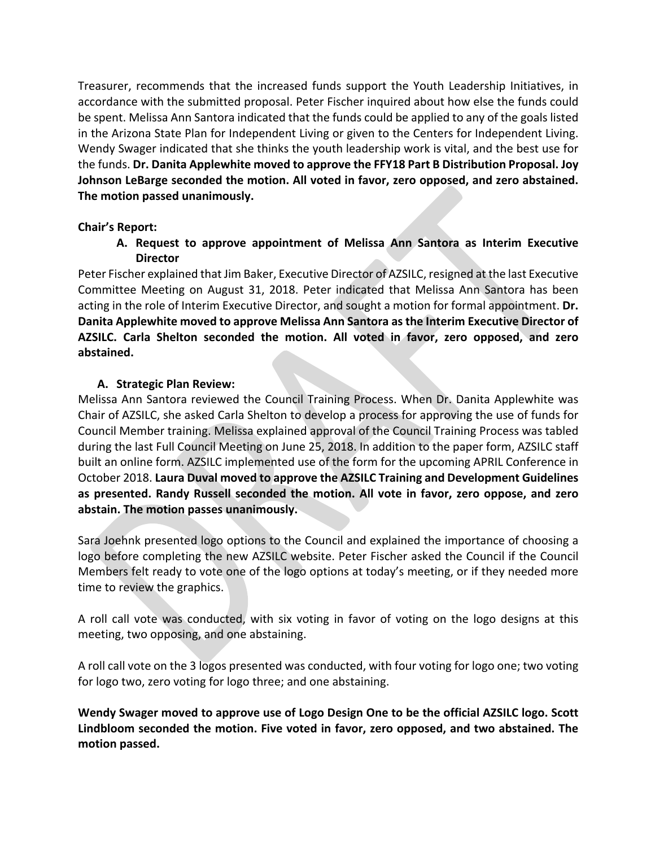Treasurer, recommends that the increased funds support the Youth Leadership Initiatives, in accordance with the submitted proposal. Peter Fischer inquired about how else the funds could be spent. Melissa Ann Santora indicated that the funds could be applied to any of the goals listed in the Arizona State Plan for Independent Living or given to the Centers for Independent Living. Wendy Swager indicated that she thinks the youth leadership work is vital, and the best use for the funds. **Dr. Danita Applewhite moved to approve the FFY18 Part B Distribution Proposal. Joy Johnson LeBarge seconded the motion. All voted in favor, zero opposed, and zero abstained. The motion passed unanimously.**

# **Chair's Report:**

**A. Request to approve appointment of Melissa Ann Santora as Interim Executive Director**

Peter Fischer explained that Jim Baker, Executive Director of AZSILC, resigned at the last Executive Committee Meeting on August 31, 2018. Peter indicated that Melissa Ann Santora has been acting in the role of Interim Executive Director, and sought a motion for formal appointment. **Dr. Danita Applewhite moved to approve Melissa Ann Santora as the Interim Executive Director of AZSILC. Carla Shelton seconded the motion. All voted in favor, zero opposed, and zero abstained.**

## **A. Strategic Plan Review:**

Melissa Ann Santora reviewed the Council Training Process. When Dr. Danita Applewhite was Chair of AZSILC, she asked Carla Shelton to develop a process for approving the use of funds for Council Member training. Melissa explained approval of the Council Training Process was tabled during the last Full Council Meeting on June 25, 2018. In addition to the paper form, AZSILC staff built an online form. AZSILC implemented use of the form for the upcoming APRIL Conference in October 2018. **Laura Duval moved to approve the AZSILC Training and Development Guidelines as presented. Randy Russell seconded the motion. All vote in favor, zero oppose, and zero abstain. The motion passes unanimously.**

Sara Joehnk presented logo options to the Council and explained the importance of choosing a logo before completing the new AZSILC website. Peter Fischer asked the Council if the Council Members felt ready to vote one of the logo options at today's meeting, or if they needed more time to review the graphics.

A roll call vote was conducted, with six voting in favor of voting on the logo designs at this meeting, two opposing, and one abstaining.

A roll call vote on the 3 logos presented was conducted, with four voting for logo one; two voting for logo two, zero voting for logo three; and one abstaining.

**Wendy Swager moved to approve use of Logo Design One to be the official AZSILC logo. Scott Lindbloom seconded the motion. Five voted in favor, zero opposed, and two abstained. The motion passed.**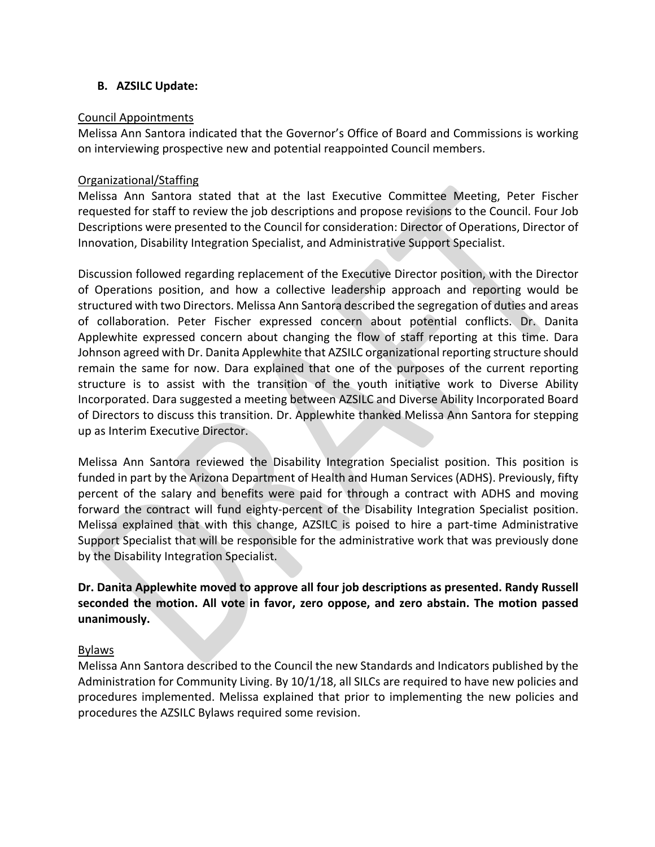## **B. AZSILC Update:**

#### Council Appointments

Melissa Ann Santora indicated that the Governor's Office of Board and Commissions is working on interviewing prospective new and potential reappointed Council members.

#### Organizational/Staffing

Melissa Ann Santora stated that at the last Executive Committee Meeting, Peter Fischer requested for staff to review the job descriptions and propose revisions to the Council. Four Job Descriptions were presented to the Council for consideration: Director of Operations, Director of Innovation, Disability Integration Specialist, and Administrative Support Specialist.

Discussion followed regarding replacement of the Executive Director position, with the Director of Operations position, and how a collective leadership approach and reporting would be structured with two Directors. Melissa Ann Santora described the segregation of duties and areas of collaboration. Peter Fischer expressed concern about potential conflicts. Dr. Danita Applewhite expressed concern about changing the flow of staff reporting at this time. Dara Johnson agreed with Dr. Danita Applewhite that AZSILC organizational reporting structure should remain the same for now. Dara explained that one of the purposes of the current reporting structure is to assist with the transition of the youth initiative work to Diverse Ability Incorporated. Dara suggested a meeting between AZSILC and Diverse Ability Incorporated Board of Directors to discuss this transition. Dr. Applewhite thanked Melissa Ann Santora for stepping up as Interim Executive Director.

Melissa Ann Santora reviewed the Disability Integration Specialist position. This position is funded in part by the Arizona Department of Health and Human Services (ADHS). Previously, fifty percent of the salary and benefits were paid for through a contract with ADHS and moving forward the contract will fund eighty-percent of the Disability Integration Specialist position. Melissa explained that with this change, AZSILC is poised to hire a part-time Administrative Support Specialist that will be responsible for the administrative work that was previously done by the Disability Integration Specialist.

**Dr. Danita Applewhite moved to approve all four job descriptions as presented. Randy Russell seconded the motion. All vote in favor, zero oppose, and zero abstain. The motion passed unanimously.** 

#### Bylaws

Melissa Ann Santora described to the Council the new Standards and Indicators published by the Administration for Community Living. By 10/1/18, all SILCs are required to have new policies and procedures implemented. Melissa explained that prior to implementing the new policies and procedures the AZSILC Bylaws required some revision.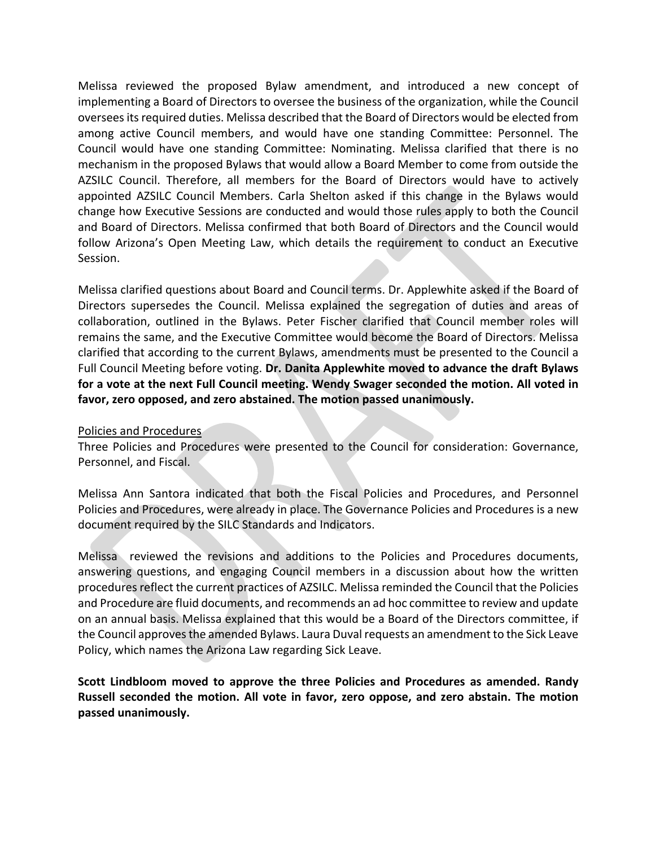Melissa reviewed the proposed Bylaw amendment, and introduced a new concept of implementing a Board of Directors to oversee the business of the organization, while the Council oversees its required duties. Melissa described that the Board of Directors would be elected from among active Council members, and would have one standing Committee: Personnel. The Council would have one standing Committee: Nominating. Melissa clarified that there is no mechanism in the proposed Bylaws that would allow a Board Member to come from outside the AZSILC Council. Therefore, all members for the Board of Directors would have to actively appointed AZSILC Council Members. Carla Shelton asked if this change in the Bylaws would change how Executive Sessions are conducted and would those rules apply to both the Council and Board of Directors. Melissa confirmed that both Board of Directors and the Council would follow Arizona's Open Meeting Law, which details the requirement to conduct an Executive Session.

Melissa clarified questions about Board and Council terms. Dr. Applewhite asked if the Board of Directors supersedes the Council. Melissa explained the segregation of duties and areas of collaboration, outlined in the Bylaws. Peter Fischer clarified that Council member roles will remains the same, and the Executive Committee would become the Board of Directors. Melissa clarified that according to the current Bylaws, amendments must be presented to the Council a Full Council Meeting before voting. **Dr. Danita Applewhite moved to advance the draft Bylaws for a vote at the next Full Council meeting. Wendy Swager seconded the motion. All voted in favor, zero opposed, and zero abstained. The motion passed unanimously.**

#### Policies and Procedures

Three Policies and Procedures were presented to the Council for consideration: Governance, Personnel, and Fiscal.

Melissa Ann Santora indicated that both the Fiscal Policies and Procedures, and Personnel Policies and Procedures, were already in place. The Governance Policies and Procedures is a new document required by the SILC Standards and Indicators.

Melissa reviewed the revisions and additions to the Policies and Procedures documents, answering questions, and engaging Council members in a discussion about how the written procedures reflect the current practices of AZSILC. Melissa reminded the Council that the Policies and Procedure are fluid documents, and recommends an ad hoc committee to review and update on an annual basis. Melissa explained that this would be a Board of the Directors committee, if the Council approvesthe amended Bylaws. Laura Duval requests an amendment to the Sick Leave Policy, which names the Arizona Law regarding Sick Leave.

**Scott Lindbloom moved to approve the three Policies and Procedures as amended. Randy Russell seconded the motion. All vote in favor, zero oppose, and zero abstain. The motion passed unanimously.**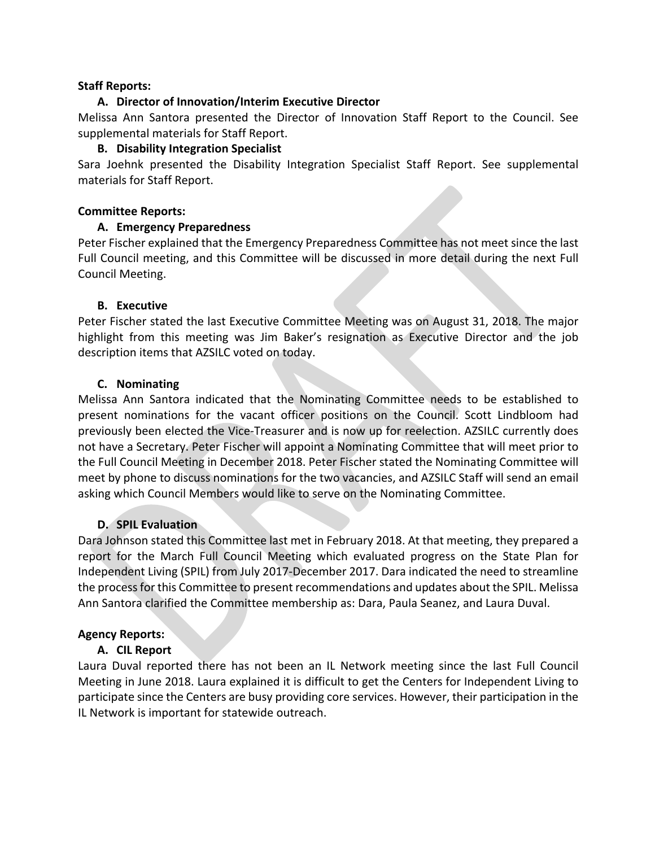#### **Staff Reports:**

## **A. Director of Innovation/Interim Executive Director**

Melissa Ann Santora presented the Director of Innovation Staff Report to the Council. See supplemental materials for Staff Report.

## **B. Disability Integration Specialist**

Sara Joehnk presented the Disability Integration Specialist Staff Report. See supplemental materials for Staff Report.

#### **Committee Reports:**

# **A. Emergency Preparedness**

Peter Fischer explained that the Emergency Preparedness Committee has not meet since the last Full Council meeting, and this Committee will be discussed in more detail during the next Full Council Meeting.

## **B. Executive**

Peter Fischer stated the last Executive Committee Meeting was on August 31, 2018. The major highlight from this meeting was Jim Baker's resignation as Executive Director and the job description items that AZSILC voted on today.

## **C. Nominating**

Melissa Ann Santora indicated that the Nominating Committee needs to be established to present nominations for the vacant officer positions on the Council. Scott Lindbloom had previously been elected the Vice-Treasurer and is now up for reelection. AZSILC currently does not have a Secretary. Peter Fischer will appoint a Nominating Committee that will meet prior to the Full Council Meeting in December 2018. Peter Fischer stated the Nominating Committee will meet by phone to discuss nominations for the two vacancies, and AZSILC Staff will send an email asking which Council Members would like to serve on the Nominating Committee.

# **D. SPIL Evaluation**

Dara Johnson stated this Committee last met in February 2018. At that meeting, they prepared a report for the March Full Council Meeting which evaluated progress on the State Plan for Independent Living (SPIL) from July 2017-December 2017. Dara indicated the need to streamline the process for this Committee to present recommendations and updates about the SPIL. Melissa Ann Santora clarified the Committee membership as: Dara, Paula Seanez, and Laura Duval.

# **Agency Reports:**

# **A. CIL Report**

Laura Duval reported there has not been an IL Network meeting since the last Full Council Meeting in June 2018. Laura explained it is difficult to get the Centers for Independent Living to participate since the Centers are busy providing core services. However, their participation in the IL Network is important for statewide outreach.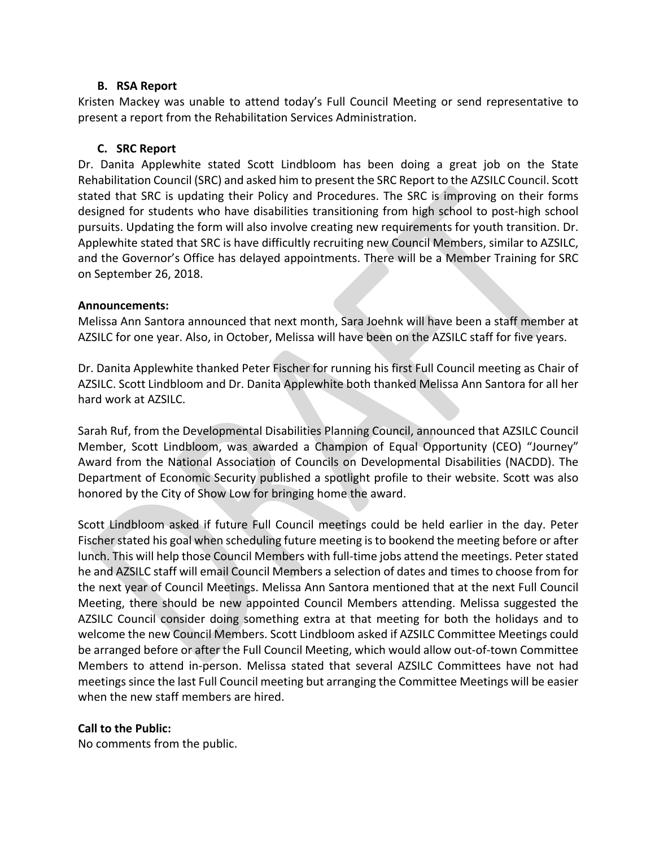#### **B. RSA Report**

Kristen Mackey was unable to attend today's Full Council Meeting or send representative to present a report from the Rehabilitation Services Administration.

#### **C. SRC Report**

Dr. Danita Applewhite stated Scott Lindbloom has been doing a great job on the State Rehabilitation Council (SRC) and asked him to present the SRC Report to the AZSILC Council. Scott stated that SRC is updating their Policy and Procedures. The SRC is improving on their forms designed for students who have disabilities transitioning from high school to post-high school pursuits. Updating the form will also involve creating new requirements for youth transition. Dr. Applewhite stated that SRC is have difficultly recruiting new Council Members, similar to AZSILC, and the Governor's Office has delayed appointments. There will be a Member Training for SRC on September 26, 2018.

#### **Announcements:**

Melissa Ann Santora announced that next month, Sara Joehnk will have been a staff member at AZSILC for one year. Also, in October, Melissa will have been on the AZSILC staff for five years.

Dr. Danita Applewhite thanked Peter Fischer for running his first Full Council meeting as Chair of AZSILC. Scott Lindbloom and Dr. Danita Applewhite both thanked Melissa Ann Santora for all her hard work at AZSILC.

Sarah Ruf, from the Developmental Disabilities Planning Council, announced that AZSILC Council Member, Scott Lindbloom, was awarded a Champion of Equal Opportunity (CEO) "Journey" Award from the National Association of Councils on Developmental Disabilities (NACDD). The Department of Economic Security published a spotlight profile to their website. Scott was also honored by the City of Show Low for bringing home the award.

Scott Lindbloom asked if future Full Council meetings could be held earlier in the day. Peter Fischer stated his goal when scheduling future meeting isto bookend the meeting before or after lunch. This will help those Council Members with full-time jobs attend the meetings. Peter stated he and AZSILC staff will email Council Members a selection of dates and times to choose from for the next year of Council Meetings. Melissa Ann Santora mentioned that at the next Full Council Meeting, there should be new appointed Council Members attending. Melissa suggested the AZSILC Council consider doing something extra at that meeting for both the holidays and to welcome the new Council Members. Scott Lindbloom asked if AZSILC Committee Meetings could be arranged before or after the Full Council Meeting, which would allow out-of-town Committee Members to attend in-person. Melissa stated that several AZSILC Committees have not had meetings since the last Full Council meeting but arranging the Committee Meetings will be easier when the new staff members are hired.

#### **Call to the Public:**

No comments from the public.